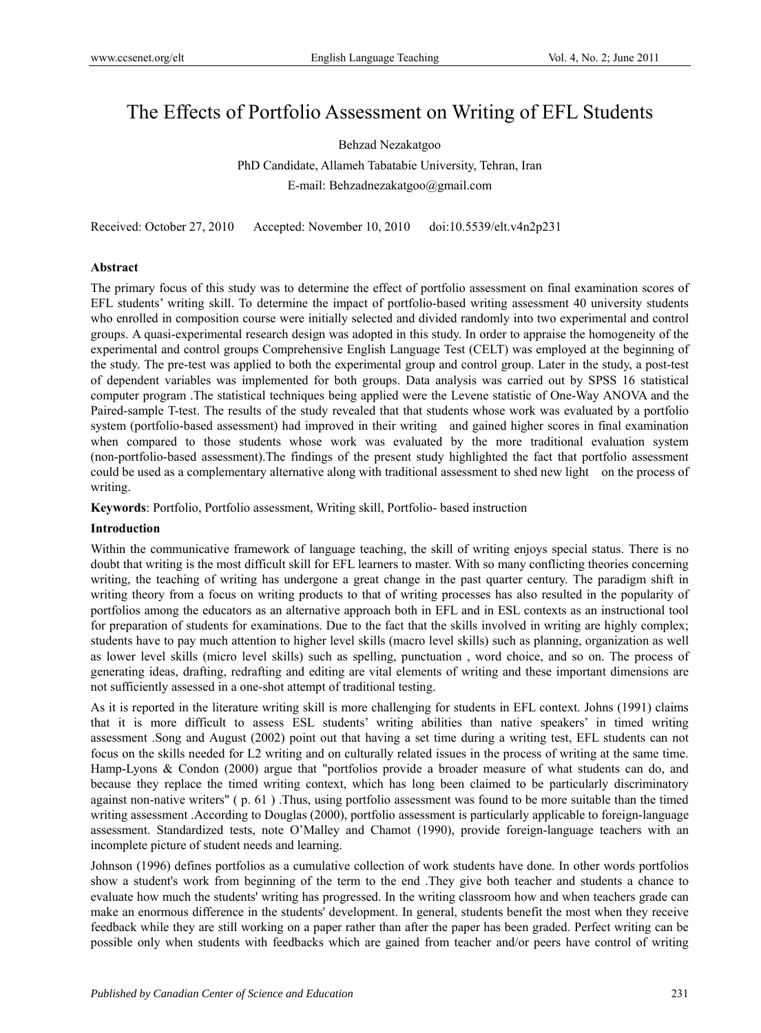# The Effects of Portfolio Assessment on Writing of EFL Students

Behzad Nezakatgoo

PhD Candidate, Allameh Tabatabie University, Tehran, Iran

E-mail: Behzadnezakatgoo@gmail.com

Received: October 27, 2010 Accepted: November 10, 2010 doi:10.5539/elt.v4n2p231

# **Abstract**

The primary focus of this study was to determine the effect of portfolio assessment on final examination scores of EFL students' writing skill. To determine the impact of portfolio-based writing assessment 40 university students who enrolled in composition course were initially selected and divided randomly into two experimental and control groups. A quasi-experimental research design was adopted in this study. In order to appraise the homogeneity of the experimental and control groups Comprehensive English Language Test (CELT) was employed at the beginning of the study. The pre-test was applied to both the experimental group and control group. Later in the study, a post-test of dependent variables was implemented for both groups. Data analysis was carried out by SPSS 16 statistical computer program .The statistical techniques being applied were the Levene statistic of One-Way ANOVA and the Paired-sample T-test. The results of the study revealed that that students whose work was evaluated by a portfolio system (portfolio-based assessment) had improved in their writing and gained higher scores in final examination when compared to those students whose work was evaluated by the more traditional evaluation system (non-portfolio-based assessment).The findings of the present study highlighted the fact that portfolio assessment could be used as a complementary alternative along with traditional assessment to shed new light on the process of writing.

**Keywords**: Portfolio, Portfolio assessment, Writing skill, Portfolio- based instruction

# **Introduction**

Within the communicative framework of language teaching, the skill of writing enjoys special status. There is no doubt that writing is the most difficult skill for EFL learners to master. With so many conflicting theories concerning writing, the teaching of writing has undergone a great change in the past quarter century. The paradigm shift in writing theory from a focus on writing products to that of writing processes has also resulted in the popularity of portfolios among the educators as an alternative approach both in EFL and in ESL contexts as an instructional tool for preparation of students for examinations. Due to the fact that the skills involved in writing are highly complex; students have to pay much attention to higher level skills (macro level skills) such as planning, organization as well as lower level skills (micro level skills) such as spelling, punctuation , word choice, and so on. The process of generating ideas, drafting, redrafting and editing are vital elements of writing and these important dimensions are not sufficiently assessed in a one-shot attempt of traditional testing.

As it is reported in the literature writing skill is more challenging for students in EFL context. Johns (1991) claims that it is more difficult to assess ESL students' writing abilities than native speakers' in timed writing assessment .Song and August (2002) point out that having a set time during a writing test, EFL students can not focus on the skills needed for L2 writing and on culturally related issues in the process of writing at the same time. Hamp-Lyons & Condon (2000) argue that "portfolios provide a broader measure of what students can do, and because they replace the timed writing context, which has long been claimed to be particularly discriminatory against non-native writers" ( p. 61 ) .Thus, using portfolio assessment was found to be more suitable than the timed writing assessment .According to Douglas (2000), portfolio assessment is particularly applicable to foreign-language assessment. Standardized tests, note O'Malley and Chamot (1990), provide foreign-language teachers with an incomplete picture of student needs and learning.

Johnson (1996) defines portfolios as a cumulative collection of work students have done. In other words portfolios show a student's work from beginning of the term to the end .They give both teacher and students a chance to evaluate how much the students' writing has progressed. In the writing classroom how and when teachers grade can make an enormous difference in the students' development. In general, students benefit the most when they receive feedback while they are still working on a paper rather than after the paper has been graded. Perfect writing can be possible only when students with feedbacks which are gained from teacher and/or peers have control of writing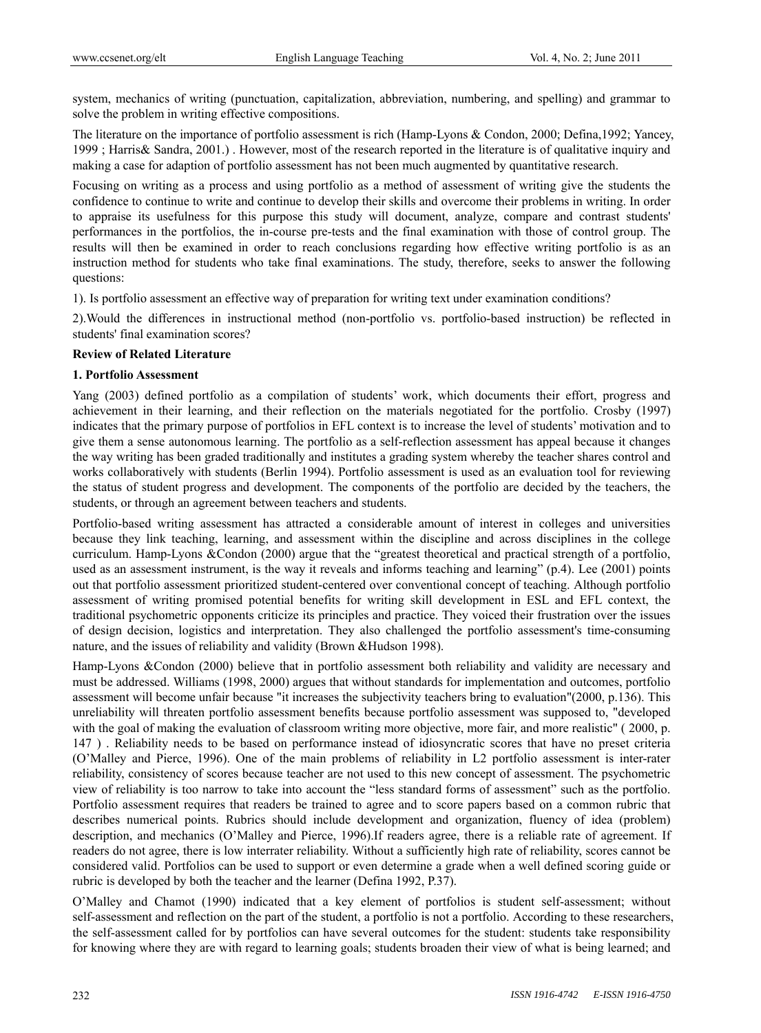system, mechanics of writing (punctuation, capitalization, abbreviation, numbering, and spelling) and grammar to solve the problem in writing effective compositions.

The literature on the importance of portfolio assessment is rich (Hamp-Lyons & Condon, 2000; Defina,1992; Yancey, 1999 ; Harris& Sandra, 2001.) . However, most of the research reported in the literature is of qualitative inquiry and making a case for adaption of portfolio assessment has not been much augmented by quantitative research.

Focusing on writing as a process and using portfolio as a method of assessment of writing give the students the confidence to continue to write and continue to develop their skills and overcome their problems in writing. In order to appraise its usefulness for this purpose this study will document, analyze, compare and contrast students' performances in the portfolios, the in-course pre-tests and the final examination with those of control group. The results will then be examined in order to reach conclusions regarding how effective writing portfolio is as an instruction method for students who take final examinations. The study, therefore, seeks to answer the following questions:

1). Is portfolio assessment an effective way of preparation for writing text under examination conditions?

2).Would the differences in instructional method (non-portfolio vs. portfolio-based instruction) be reflected in students' final examination scores?

#### **Review of Related Literature**

#### **1. Portfolio Assessment**

Yang (2003) defined portfolio as a compilation of students' work, which documents their effort, progress and achievement in their learning, and their reflection on the materials negotiated for the portfolio. Crosby (1997) indicates that the primary purpose of portfolios in EFL context is to increase the level of students' motivation and to give them a sense autonomous learning. The portfolio as a self-reflection assessment has appeal because it changes the way writing has been graded traditionally and institutes a grading system whereby the teacher shares control and works collaboratively with students (Berlin 1994). Portfolio assessment is used as an evaluation tool for reviewing the status of student progress and development. The components of the portfolio are decided by the teachers, the students, or through an agreement between teachers and students.

Portfolio-based writing assessment has attracted a considerable amount of interest in colleges and universities because they link teaching, learning, and assessment within the discipline and across disciplines in the college curriculum. Hamp-Lyons &Condon (2000) argue that the "greatest theoretical and practical strength of a portfolio, used as an assessment instrument, is the way it reveals and informs teaching and learning" (p.4). Lee (2001) points out that portfolio assessment prioritized student-centered over conventional concept of teaching. Although portfolio assessment of writing promised potential benefits for writing skill development in ESL and EFL context, the traditional psychometric opponents criticize its principles and practice. They voiced their frustration over the issues of design decision, logistics and interpretation. They also challenged the portfolio assessment's time-consuming nature, and the issues of reliability and validity (Brown & Hudson 1998).

Hamp-Lyons &Condon (2000) believe that in portfolio assessment both reliability and validity are necessary and must be addressed. Williams (1998, 2000) argues that without standards for implementation and outcomes, portfolio assessment will become unfair because "it increases the subjectivity teachers bring to evaluation"(2000, p.136). This unreliability will threaten portfolio assessment benefits because portfolio assessment was supposed to, "developed with the goal of making the evaluation of classroom writing more objective, more fair, and more realistic" (2000, p. 147 ) . Reliability needs to be based on performance instead of idiosyncratic scores that have no preset criteria (O'Malley and Pierce, 1996). One of the main problems of reliability in L2 portfolio assessment is inter-rater reliability, consistency of scores because teacher are not used to this new concept of assessment. The psychometric view of reliability is too narrow to take into account the "less standard forms of assessment" such as the portfolio. Portfolio assessment requires that readers be trained to agree and to score papers based on a common rubric that describes numerical points. Rubrics should include development and organization, fluency of idea (problem) description, and mechanics (O'Malley and Pierce, 1996).If readers agree, there is a reliable rate of agreement. If readers do not agree, there is low interrater reliability. Without a sufficiently high rate of reliability, scores cannot be considered valid. Portfolios can be used to support or even determine a grade when a well defined scoring guide or rubric is developed by both the teacher and the learner (Defina 1992, P.37).

O'Malley and Chamot (1990) indicated that a key element of portfolios is student self-assessment; without self-assessment and reflection on the part of the student, a portfolio is not a portfolio. According to these researchers, the self-assessment called for by portfolios can have several outcomes for the student: students take responsibility for knowing where they are with regard to learning goals; students broaden their view of what is being learned; and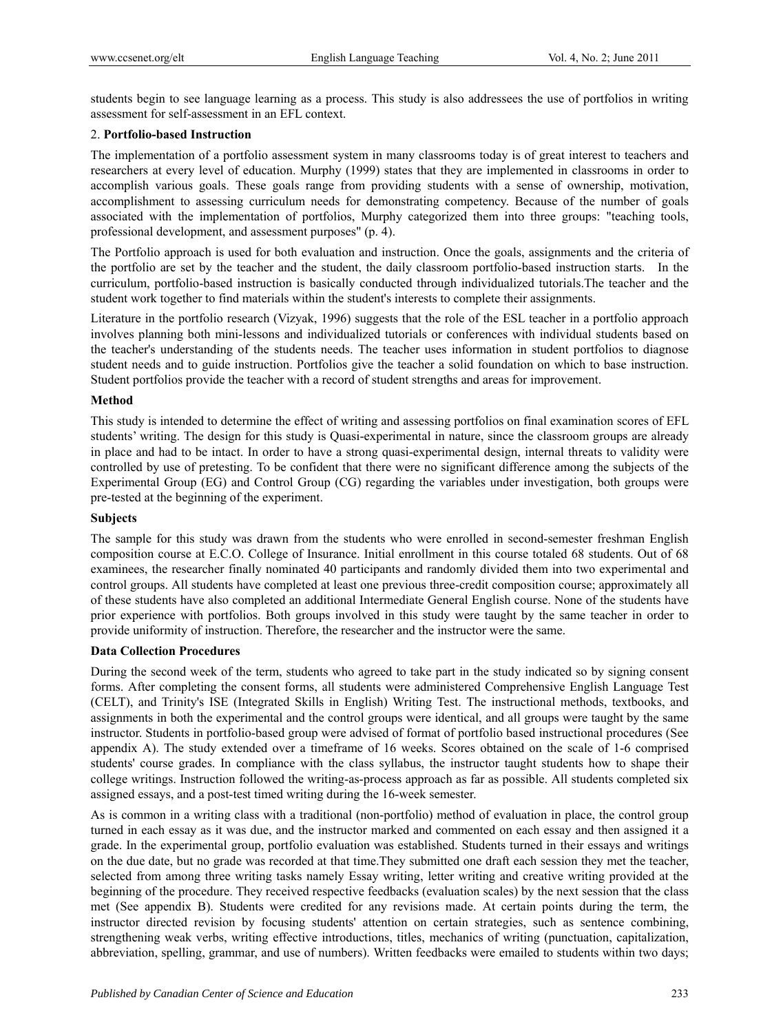students begin to see language learning as a process. This study is also addressees the use of portfolios in writing assessment for self-assessment in an EFL context.

# 2. **Portfolio-based Instruction**

The implementation of a portfolio assessment system in many classrooms today is of great interest to teachers and researchers at every level of education. Murphy (1999) states that they are implemented in classrooms in order to accomplish various goals. These goals range from providing students with a sense of ownership, motivation, accomplishment to assessing curriculum needs for demonstrating competency. Because of the number of goals associated with the implementation of portfolios, Murphy categorized them into three groups: "teaching tools, professional development, and assessment purposes" (p. 4).

The Portfolio approach is used for both evaluation and instruction. Once the goals, assignments and the criteria of the portfolio are set by the teacher and the student, the daily classroom portfolio-based instruction starts. In the curriculum, portfolio-based instruction is basically conducted through individualized tutorials.The teacher and the student work together to find materials within the student's interests to complete their assignments.

Literature in the portfolio research (Vizyak, 1996) suggests that the role of the ESL teacher in a portfolio approach involves planning both mini-lessons and individualized tutorials or conferences with individual students based on the teacher's understanding of the students needs. The teacher uses information in student portfolios to diagnose student needs and to guide instruction. Portfolios give the teacher a solid foundation on which to base instruction. Student portfolios provide the teacher with a record of student strengths and areas for improvement.

# **Method**

This study is intended to determine the effect of writing and assessing portfolios on final examination scores of EFL students' writing. The design for this study is Quasi-experimental in nature, since the classroom groups are already in place and had to be intact. In order to have a strong quasi-experimental design, internal threats to validity were controlled by use of pretesting. To be confident that there were no significant difference among the subjects of the Experimental Group (EG) and Control Group (CG) regarding the variables under investigation, both groups were pre-tested at the beginning of the experiment.

# **Subjects**

The sample for this study was drawn from the students who were enrolled in second-semester freshman English composition course at E.C.O. College of Insurance. Initial enrollment in this course totaled 68 students. Out of 68 examinees, the researcher finally nominated 40 participants and randomly divided them into two experimental and control groups. All students have completed at least one previous three-credit composition course; approximately all of these students have also completed an additional Intermediate General English course. None of the students have prior experience with portfolios. Both groups involved in this study were taught by the same teacher in order to provide uniformity of instruction. Therefore, the researcher and the instructor were the same.

# **Data Collection Procedures**

During the second week of the term, students who agreed to take part in the study indicated so by signing consent forms. After completing the consent forms, all students were administered Comprehensive English Language Test (CELT), and Trinity's ISE (Integrated Skills in English) Writing Test. The instructional methods, textbooks, and assignments in both the experimental and the control groups were identical, and all groups were taught by the same instructor. Students in portfolio-based group were advised of format of portfolio based instructional procedures (See appendix A). The study extended over a timeframe of 16 weeks. Scores obtained on the scale of 1-6 comprised students' course grades. In compliance with the class syllabus, the instructor taught students how to shape their college writings. Instruction followed the writing-as-process approach as far as possible. All students completed six assigned essays, and a post-test timed writing during the 16-week semester.

As is common in a writing class with a traditional (non-portfolio) method of evaluation in place, the control group turned in each essay as it was due, and the instructor marked and commented on each essay and then assigned it a grade. In the experimental group, portfolio evaluation was established. Students turned in their essays and writings on the due date, but no grade was recorded at that time.They submitted one draft each session they met the teacher, selected from among three writing tasks namely Essay writing, letter writing and creative writing provided at the beginning of the procedure. They received respective feedbacks (evaluation scales) by the next session that the class met (See appendix B). Students were credited for any revisions made. At certain points during the term, the instructor directed revision by focusing students' attention on certain strategies, such as sentence combining, strengthening weak verbs, writing effective introductions, titles, mechanics of writing (punctuation, capitalization, abbreviation, spelling, grammar, and use of numbers). Written feedbacks were emailed to students within two days;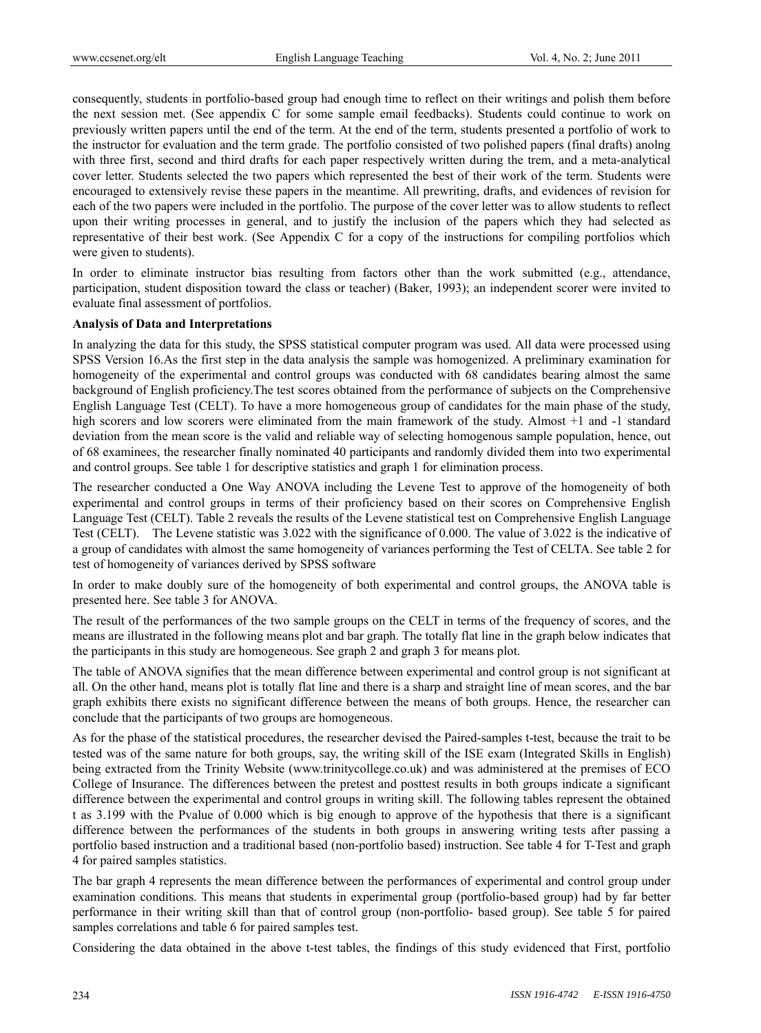consequently, students in portfolio-based group had enough time to reflect on their writings and polish them before the next session met. (See appendix C for some sample email feedbacks). Students could continue to work on previously written papers until the end of the term. At the end of the term, students presented a portfolio of work to the instructor for evaluation and the term grade. The portfolio consisted of two polished papers (final drafts) anolng with three first, second and third drafts for each paper respectively written during the trem, and a meta-analytical cover letter. Students selected the two papers which represented the best of their work of the term. Students were encouraged to extensively revise these papers in the meantime. All prewriting, drafts, and evidences of revision for each of the two papers were included in the portfolio. The purpose of the cover letter was to allow students to reflect upon their writing processes in general, and to justify the inclusion of the papers which they had selected as representative of their best work. (See Appendix C for a copy of the instructions for compiling portfolios which were given to students).

In order to eliminate instructor bias resulting from factors other than the work submitted (e.g., attendance, participation, student disposition toward the class or teacher) (Baker, 1993); an independent scorer were invited to evaluate final assessment of portfolios.

#### **Analysis of Data and Interpretations**

In analyzing the data for this study, the SPSS statistical computer program was used. All data were processed using SPSS Version 16.As the first step in the data analysis the sample was homogenized. A preliminary examination for homogeneity of the experimental and control groups was conducted with 68 candidates bearing almost the same background of English proficiency.The test scores obtained from the performance of subjects on the Comprehensive English Language Test (CELT). To have a more homogeneous group of candidates for the main phase of the study, high scorers and low scorers were eliminated from the main framework of the study. Almost +1 and -1 standard deviation from the mean score is the valid and reliable way of selecting homogenous sample population, hence, out of 68 examinees, the researcher finally nominated 40 participants and randomly divided them into two experimental and control groups. See table 1 for descriptive statistics and graph 1 for elimination process.

The researcher conducted a One Way ANOVA including the Levene Test to approve of the homogeneity of both experimental and control groups in terms of their proficiency based on their scores on Comprehensive English Language Test (CELT). Table 2 reveals the results of the Levene statistical test on Comprehensive English Language Test (CELT). The Levene statistic was 3.022 with the significance of 0.000. The value of 3.022 is the indicative of a group of candidates with almost the same homogeneity of variances performing the Test of CELTA. See table 2 for test of homogeneity of variances derived by SPSS software

In order to make doubly sure of the homogeneity of both experimental and control groups, the ANOVA table is presented here. See table 3 for ANOVA.

The result of the performances of the two sample groups on the CELT in terms of the frequency of scores, and the means are illustrated in the following means plot and bar graph. The totally flat line in the graph below indicates that the participants in this study are homogeneous. See graph 2 and graph 3 for means plot.

The table of ANOVA signifies that the mean difference between experimental and control group is not significant at all. On the other hand, means plot is totally flat line and there is a sharp and straight line of mean scores, and the bar graph exhibits there exists no significant difference between the means of both groups. Hence, the researcher can conclude that the participants of two groups are homogeneous.

As for the phase of the statistical procedures, the researcher devised the Paired-samples t-test, because the trait to be tested was of the same nature for both groups, say, the writing skill of the ISE exam (Integrated Skills in English) being extracted from the Trinity Website (www.trinitycollege.co.uk) and was administered at the premises of ECO College of Insurance. The differences between the pretest and posttest results in both groups indicate a significant difference between the experimental and control groups in writing skill. The following tables represent the obtained t as 3.199 with the Pvalue of 0.000 which is big enough to approve of the hypothesis that there is a significant difference between the performances of the students in both groups in answering writing tests after passing a portfolio based instruction and a traditional based (non-portfolio based) instruction. See table 4 for T-Test and graph 4 for paired samples statistics.

The bar graph 4 represents the mean difference between the performances of experimental and control group under examination conditions. This means that students in experimental group (portfolio-based group) had by far better performance in their writing skill than that of control group (non-portfolio- based group). See table 5 for paired samples correlations and table 6 for paired samples test.

Considering the data obtained in the above t-test tables, the findings of this study evidenced that First, portfolio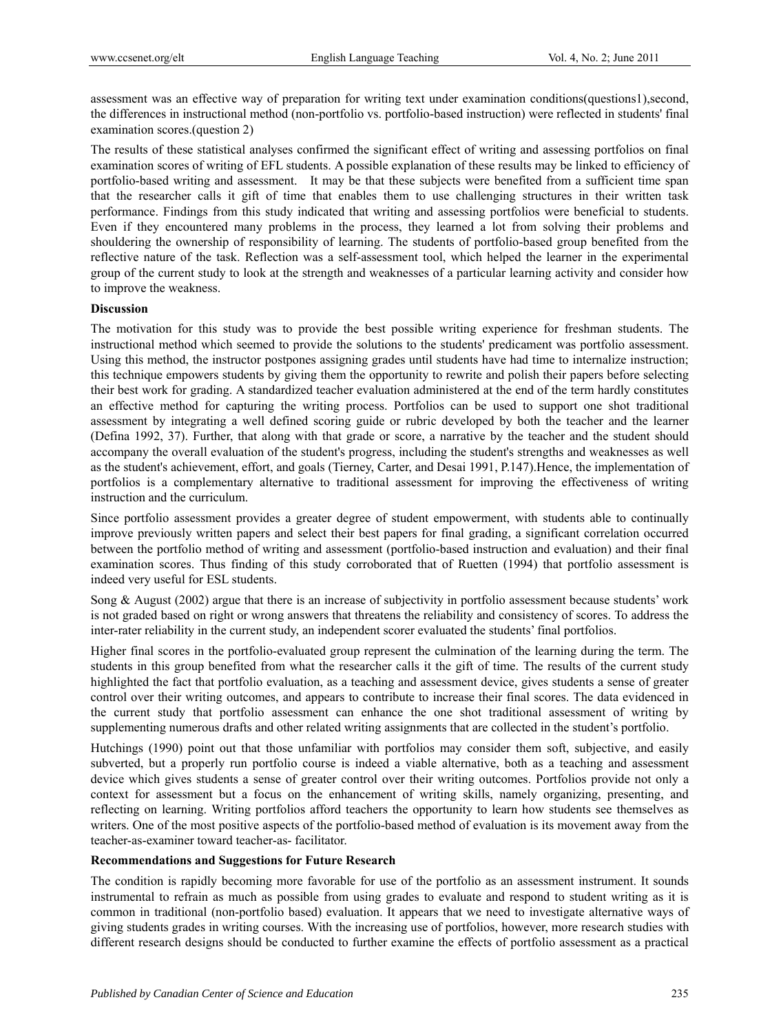assessment was an effective way of preparation for writing text under examination conditions(questions1),second, the differences in instructional method (non-portfolio vs. portfolio-based instruction) were reflected in students' final examination scores.(question 2)

The results of these statistical analyses confirmed the significant effect of writing and assessing portfolios on final examination scores of writing of EFL students. A possible explanation of these results may be linked to efficiency of portfolio-based writing and assessment. It may be that these subjects were benefited from a sufficient time span that the researcher calls it gift of time that enables them to use challenging structures in their written task performance. Findings from this study indicated that writing and assessing portfolios were beneficial to students. Even if they encountered many problems in the process, they learned a lot from solving their problems and shouldering the ownership of responsibility of learning. The students of portfolio-based group benefited from the reflective nature of the task. Reflection was a self-assessment tool, which helped the learner in the experimental group of the current study to look at the strength and weaknesses of a particular learning activity and consider how to improve the weakness.

#### **Discussion**

The motivation for this study was to provide the best possible writing experience for freshman students. The instructional method which seemed to provide the solutions to the students' predicament was portfolio assessment. Using this method, the instructor postpones assigning grades until students have had time to internalize instruction; this technique empowers students by giving them the opportunity to rewrite and polish their papers before selecting their best work for grading. A standardized teacher evaluation administered at the end of the term hardly constitutes an effective method for capturing the writing process. Portfolios can be used to support one shot traditional assessment by integrating a well defined scoring guide or rubric developed by both the teacher and the learner (Defina 1992, 37). Further, that along with that grade or score, a narrative by the teacher and the student should accompany the overall evaluation of the student's progress, including the student's strengths and weaknesses as well as the student's achievement, effort, and goals (Tierney, Carter, and Desai 1991, P.147).Hence, the implementation of portfolios is a complementary alternative to traditional assessment for improving the effectiveness of writing instruction and the curriculum.

Since portfolio assessment provides a greater degree of student empowerment, with students able to continually improve previously written papers and select their best papers for final grading, a significant correlation occurred between the portfolio method of writing and assessment (portfolio-based instruction and evaluation) and their final examination scores. Thus finding of this study corroborated that of Ruetten (1994) that portfolio assessment is indeed very useful for ESL students.

Song & August (2002) argue that there is an increase of subjectivity in portfolio assessment because students' work is not graded based on right or wrong answers that threatens the reliability and consistency of scores. To address the inter-rater reliability in the current study, an independent scorer evaluated the students' final portfolios.

Higher final scores in the portfolio-evaluated group represent the culmination of the learning during the term. The students in this group benefited from what the researcher calls it the gift of time. The results of the current study highlighted the fact that portfolio evaluation, as a teaching and assessment device, gives students a sense of greater control over their writing outcomes, and appears to contribute to increase their final scores. The data evidenced in the current study that portfolio assessment can enhance the one shot traditional assessment of writing by supplementing numerous drafts and other related writing assignments that are collected in the student's portfolio.

Hutchings (1990) point out that those unfamiliar with portfolios may consider them soft, subjective, and easily subverted, but a properly run portfolio course is indeed a viable alternative, both as a teaching and assessment device which gives students a sense of greater control over their writing outcomes. Portfolios provide not only a context for assessment but a focus on the enhancement of writing skills, namely organizing, presenting, and reflecting on learning. Writing portfolios afford teachers the opportunity to learn how students see themselves as writers. One of the most positive aspects of the portfolio-based method of evaluation is its movement away from the teacher-as-examiner toward teacher-as- facilitator.

# **Recommendations and Suggestions for Future Research**

The condition is rapidly becoming more favorable for use of the portfolio as an assessment instrument. It sounds instrumental to refrain as much as possible from using grades to evaluate and respond to student writing as it is common in traditional (non-portfolio based) evaluation. It appears that we need to investigate alternative ways of giving students grades in writing courses. With the increasing use of portfolios, however, more research studies with different research designs should be conducted to further examine the effects of portfolio assessment as a practical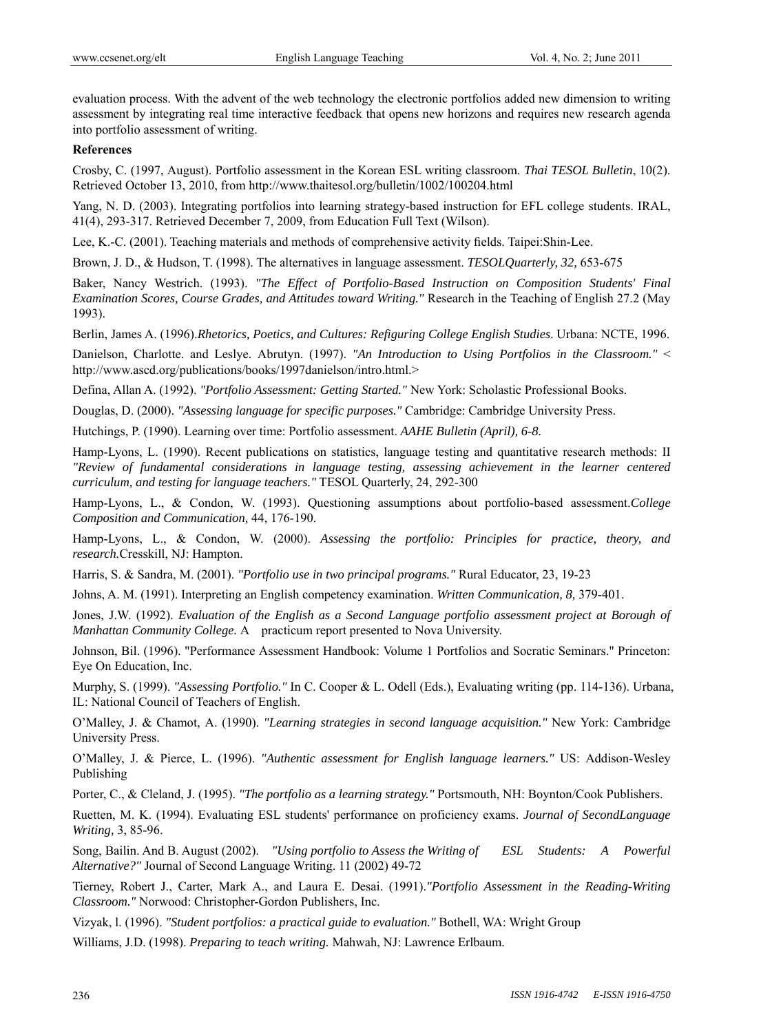evaluation process. With the advent of the web technology the electronic portfolios added new dimension to writing assessment by integrating real time interactive feedback that opens new horizons and requires new research agenda into portfolio assessment of writing.

#### **References**

Crosby, C. (1997, August). Portfolio assessment in the Korean ESL writing classroom. *Thai TESOL Bulletin*, 10(2). Retrieved October 13, 2010, from http://www.thaitesol.org/bulletin/1002/100204.html

Yang, N. D. (2003). Integrating portfolios into learning strategy-based instruction for EFL college students. IRAL, 41(4), 293-317. Retrieved December 7, 2009, from Education Full Text (Wilson).

Lee, K.-C. (2001). Teaching materials and methods of comprehensive activity fields. Taipei:Shin-Lee.

Brown, J. D., & Hudson, T. (1998). The alternatives in language assessment. *TESOLQuarterly, 32,* 653-675

Baker, Nancy Westrich. (1993). *"The Effect of Portfolio-Based Instruction on Composition Students' Final Examination Scores, Course Grades, and Attitudes toward Writing."* Research in the Teaching of English 27.2 (May 1993).

Berlin, James A. (1996).*Rhetorics, Poetics, and Cultures: Refiguring College English Studies*. Urbana: NCTE, 1996.

Danielson, Charlotte. and Leslye. Abrutyn. (1997). *"An Introduction to Using Portfolios in the Classroom."* < http://www.ascd.org/publications/books/1997danielson/intro.html.>

Defina, Allan A. (1992). *"Portfolio Assessment: Getting Started."* New York: Scholastic Professional Books.

Douglas, D. (2000). *"Assessing language for specific purposes."* Cambridge: Cambridge University Press.

Hutchings, P. (1990). Learning over time: Portfolio assessment. *AAHE Bulletin (April), 6-8.*

Hamp-Lyons, L. (1990). Recent publications on statistics, language testing and quantitative research methods: II *"Review of fundamental considerations in language testing, assessing achievement in the learner centered curriculum, and testing for language teachers."* TESOL Quarterly, 24, 292-300

Hamp-Lyons, L., & Condon, W. (1993). Questioning assumptions about portfolio-based assessment.*College Composition and Communication,* 44, 176-190.

Hamp-Lyons, L., & Condon, W. (2000). *Assessing the portfolio: Principles for practice, theory, and research.*Cresskill, NJ: Hampton.

Harris, S. & Sandra, M. (2001). *"Portfolio use in two principal programs."* Rural Educator, 23, 19-23

Johns, A. M. (1991). Interpreting an English competency examination. *Written Communication, 8,* 379-401.

Jones, J.W. (1992). *Evaluation of the English as a Second Language portfolio assessment project at Borough of Manhattan Community College.* A practicum report presented to Nova University.

Johnson, Bil. (1996). "Performance Assessment Handbook: Volume 1 Portfolios and Socratic Seminars." Princeton: Eye On Education, Inc.

Murphy, S. (1999). *"Assessing Portfolio."* In C. Cooper & L. Odell (Eds.), Evaluating writing (pp. 114-136). Urbana, IL: National Council of Teachers of English.

O'Malley, J. & Chamot, A. (1990). *"Learning strategies in second language acquisition."* New York: Cambridge University Press.

O'Malley, J. & Pierce, L. (1996). *"Authentic assessment for English language learners."* US: Addison-Wesley Publishing

Porter, C., & Cleland, J. (1995). *"The portfolio as a learning strategy."* Portsmouth, NH: Boynton/Cook Publishers.

Ruetten, M. K. (1994). Evaluating ESL students' performance on proficiency exams. *Journal of SecondLanguage Writing,* 3, 85-96.

Song, Bailin. And B. August (2002). *"Using portfolio to Assess the Writing of ESL Students: A Powerful Alternative?"* Journal of Second Language Writing. 11 (2002) 49-72

Tierney, Robert J., Carter, Mark A., and Laura E. Desai. (1991).*"Portfolio Assessment in the Reading-Writing Classroom."* Norwood: Christopher-Gordon Publishers, Inc.

Vizyak, l. (1996). *"Student portfolios: a practical guide to evaluation."* Bothell, WA: Wright Group

Williams, J.D. (1998). *Preparing to teach writing.* Mahwah, NJ: Lawrence Erlbaum.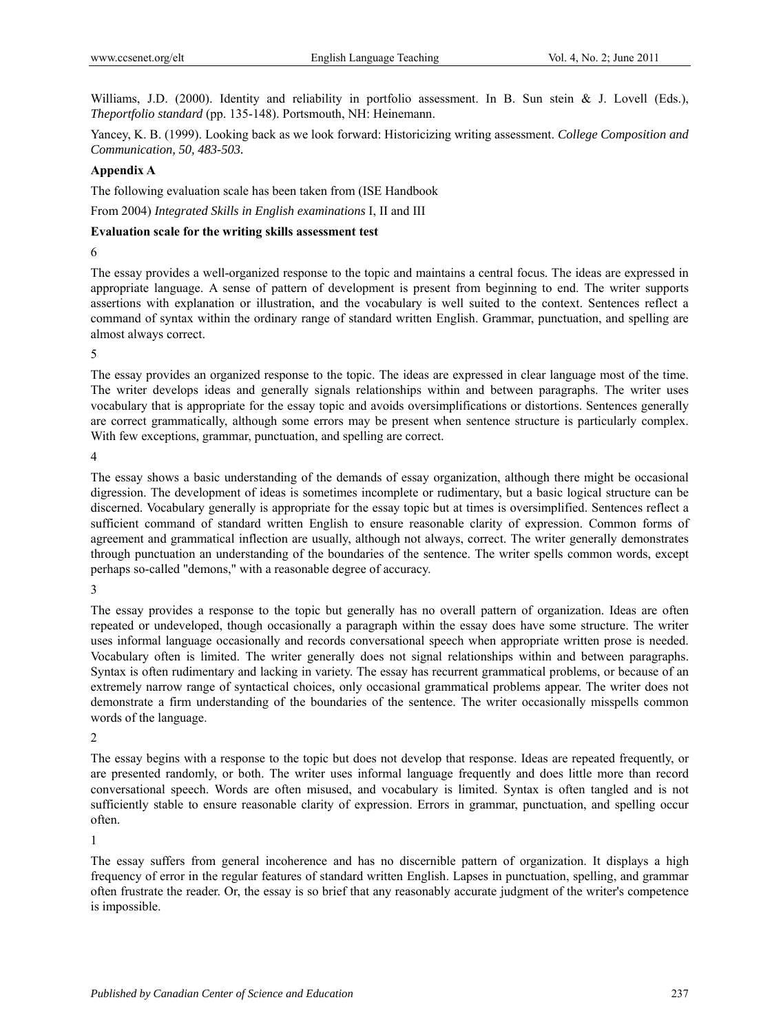Williams, J.D. (2000). Identity and reliability in portfolio assessment. In B. Sun stein & J. Lovell (Eds.), *Theportfolio standard* (pp. 135-148). Portsmouth, NH: Heinemann.

Yancey, K. B. (1999). Looking back as we look forward: Historicizing writing assessment. *College Composition and Communication, 50, 483-503.*

# **Appendix A**

The following evaluation scale has been taken from (ISE Handbook

From 2004) *Integrated Skills in English examinations* I, II and III

#### **Evaluation scale for the writing skills assessment test**

6

The essay provides a well-organized response to the topic and maintains a central focus. The ideas are expressed in appropriate language. A sense of pattern of development is present from beginning to end. The writer supports assertions with explanation or illustration, and the vocabulary is well suited to the context. Sentences reflect a command of syntax within the ordinary range of standard written English. Grammar, punctuation, and spelling are almost always correct.

5

The essay provides an organized response to the topic. The ideas are expressed in clear language most of the time. The writer develops ideas and generally signals relationships within and between paragraphs. The writer uses vocabulary that is appropriate for the essay topic and avoids oversimplifications or distortions. Sentences generally are correct grammatically, although some errors may be present when sentence structure is particularly complex. With few exceptions, grammar, punctuation, and spelling are correct.

4

The essay shows a basic understanding of the demands of essay organization, although there might be occasional digression. The development of ideas is sometimes incomplete or rudimentary, but a basic logical structure can be discerned. Vocabulary generally is appropriate for the essay topic but at times is oversimplified. Sentences reflect a sufficient command of standard written English to ensure reasonable clarity of expression. Common forms of agreement and grammatical inflection are usually, although not always, correct. The writer generally demonstrates through punctuation an understanding of the boundaries of the sentence. The writer spells common words, except perhaps so-called "demons," with a reasonable degree of accuracy.

3

The essay provides a response to the topic but generally has no overall pattern of organization. Ideas are often repeated or undeveloped, though occasionally a paragraph within the essay does have some structure. The writer uses informal language occasionally and records conversational speech when appropriate written prose is needed. Vocabulary often is limited. The writer generally does not signal relationships within and between paragraphs. Syntax is often rudimentary and lacking in variety. The essay has recurrent grammatical problems, or because of an extremely narrow range of syntactical choices, only occasional grammatical problems appear. The writer does not demonstrate a firm understanding of the boundaries of the sentence. The writer occasionally misspells common words of the language.

2

The essay begins with a response to the topic but does not develop that response. Ideas are repeated frequently, or are presented randomly, or both. The writer uses informal language frequently and does little more than record conversational speech. Words are often misused, and vocabulary is limited. Syntax is often tangled and is not sufficiently stable to ensure reasonable clarity of expression. Errors in grammar, punctuation, and spelling occur often.

1

The essay suffers from general incoherence and has no discernible pattern of organization. It displays a high frequency of error in the regular features of standard written English. Lapses in punctuation, spelling, and grammar often frustrate the reader. Or, the essay is so brief that any reasonably accurate judgment of the writer's competence is impossible.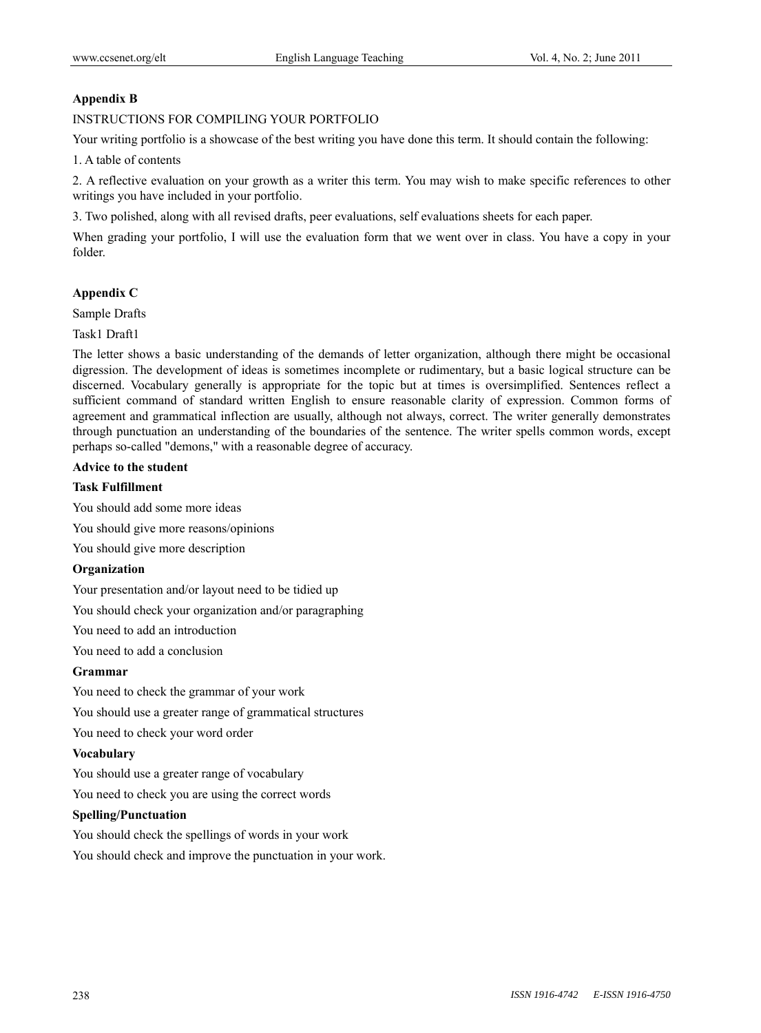# **Appendix B**

INSTRUCTIONS FOR COMPILING YOUR PORTFOLIO

Your writing portfolio is a showcase of the best writing you have done this term. It should contain the following:

1. A table of contents

2. A reflective evaluation on your growth as a writer this term. You may wish to make specific references to other writings you have included in your portfolio.

3. Two polished, along with all revised drafts, peer evaluations, self evaluations sheets for each paper.

When grading your portfolio, I will use the evaluation form that we went over in class. You have a copy in your folder.

# **Appendix C**

Sample Drafts

Task1 Draft1

The letter shows a basic understanding of the demands of letter organization, although there might be occasional digression. The development of ideas is sometimes incomplete or rudimentary, but a basic logical structure can be discerned. Vocabulary generally is appropriate for the topic but at times is oversimplified. Sentences reflect a sufficient command of standard written English to ensure reasonable clarity of expression. Common forms of agreement and grammatical inflection are usually, although not always, correct. The writer generally demonstrates through punctuation an understanding of the boundaries of the sentence. The writer spells common words, except perhaps so-called "demons," with a reasonable degree of accuracy.

# **Advice to the student**

# **Task Fulfillment**

You should add some more ideas

You should give more reasons/opinions

You should give more description

# **Organization**

Your presentation and/or layout need to be tidied up

You should check your organization and/or paragraphing

You need to add an introduction

You need to add a conclusion

# **Grammar**

You need to check the grammar of your work

You should use a greater range of grammatical structures

You need to check your word order

# **Vocabulary**

You should use a greater range of vocabulary

You need to check you are using the correct words

# **Spelling/Punctuation**

You should check the spellings of words in your work

You should check and improve the punctuation in your work.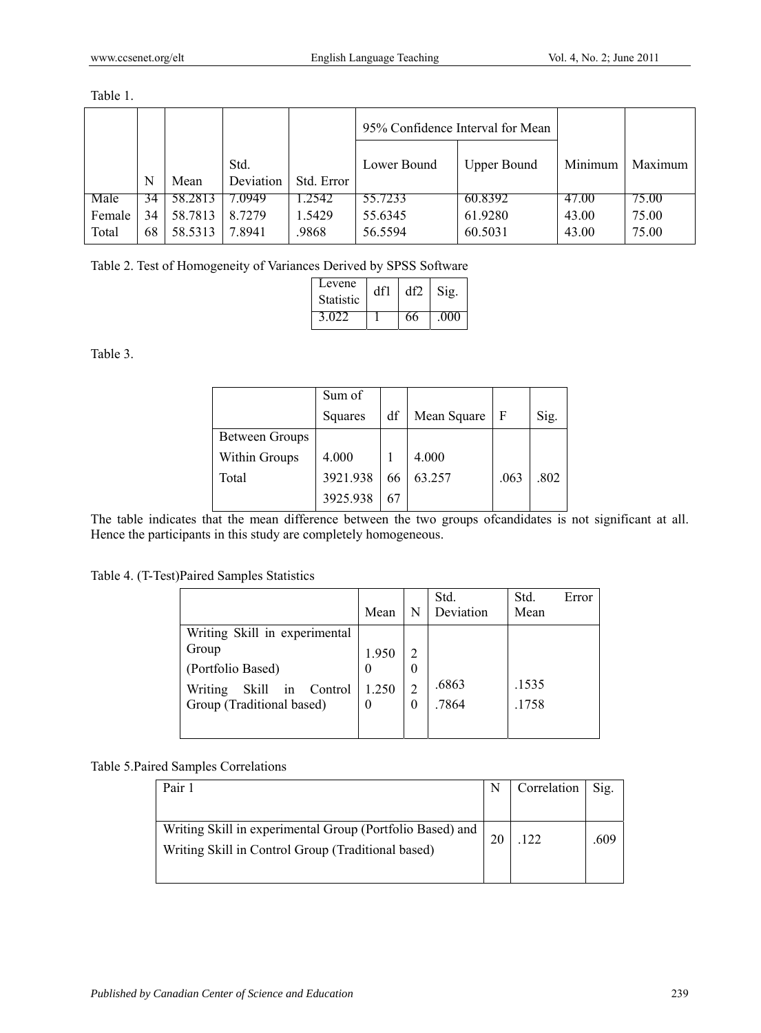|        |    |         |                   |            | 95% Confidence Interval for Mean |                    |         |         |
|--------|----|---------|-------------------|------------|----------------------------------|--------------------|---------|---------|
|        | N  | Mean    | Std.<br>Deviation | Std. Error | Lower Bound                      | <b>Upper Bound</b> | Minimum | Maximum |
| Male   | 34 | 58.2813 | .0949             | .2542      | 55.7233                          | 60.8392            | 47.00   | 75.00   |
| Female | 34 | 58.7813 | 8.7279            | 1.5429     | 55.6345                          | 61.9280            | 43.00   | 75.00   |
| Total  | 68 | 58.5313 | 7.8941            | .9868      | 56.5594                          | 60.5031            | 43.00   | 75.00   |

Table 1.

Table 2. Test of Homogeneity of Variances Derived by SPSS Software

| Levene<br><b>Statistic</b> | df1 | df2 | Sig.  |
|----------------------------|-----|-----|-------|
| 3.022                      |     | 66  | (000) |

Table 3.

|                       | Sum of   |    |             |             |      |
|-----------------------|----------|----|-------------|-------------|------|
|                       | Squares  | df | Mean Square | $\mathbf F$ | Sig. |
| <b>Between Groups</b> |          |    |             |             |      |
| Within Groups         | 4.000    |    | 4.000       |             |      |
| Total                 | 3921.938 | 66 | 63.257      | .063        | .802 |
|                       | 3925.938 |    |             |             |      |

The table indicates that the mean difference between the two groups ofcandidates is not significant at all. Hence the participants in this study are completely homogeneous.

Table 4. (T-Test)Paired Samples Statistics

|                               |       |          | Std.      | Std.  | Error |
|-------------------------------|-------|----------|-----------|-------|-------|
|                               | Mean  | N        | Deviation | Mean  |       |
| Writing Skill in experimental |       |          |           |       |       |
| Group                         | 1.950 |          |           |       |       |
| (Portfolio Based)             |       | v        |           |       |       |
| Skill in Control<br>Writing   | 1.250 |          | .6863     | .1535 |       |
| Group (Traditional based)     |       | $\theta$ | .7864     | .1758 |       |
|                               |       |          |           |       |       |

Table 5.Paired Samples Correlations

| Pair 1                                                                                                          |    | Correlation | Sig. |
|-----------------------------------------------------------------------------------------------------------------|----|-------------|------|
|                                                                                                                 |    |             |      |
| Writing Skill in experimental Group (Portfolio Based) and<br>Writing Skill in Control Group (Traditional based) | 20 | .122        | .609 |
|                                                                                                                 |    |             |      |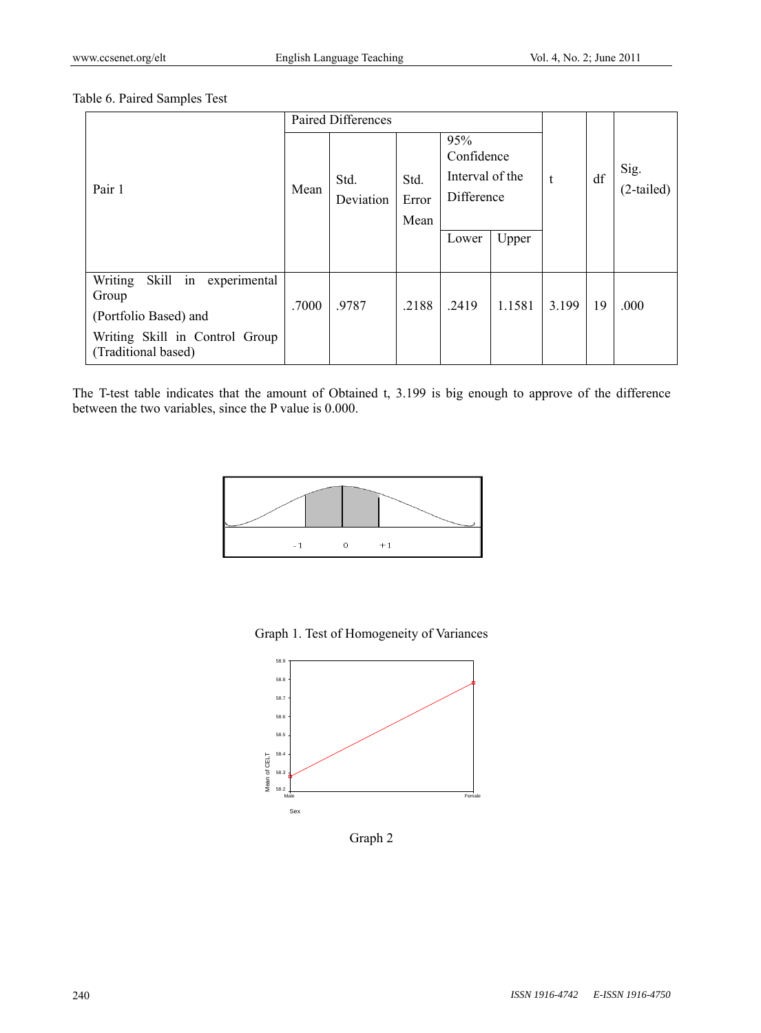# Table 6. Paired Samples Test

|                                                                                                                                | Paired Differences |                   |                       |                                                             |        |       |    |                      |
|--------------------------------------------------------------------------------------------------------------------------------|--------------------|-------------------|-----------------------|-------------------------------------------------------------|--------|-------|----|----------------------|
| Pair 1                                                                                                                         | Mean               | Std.<br>Deviation | Std.<br>Error<br>Mean | 95%<br>Confidence<br>Interval of the<br>Difference<br>Lower | Upper  | t     | df | Sig.<br>$(2-tailed)$ |
| experimental<br>Skill in<br>Writing<br>Group<br>(Portfolio Based) and<br>Writing Skill in Control Group<br>(Traditional based) | .7000              | .9787             | .2188                 | .2419                                                       | 1.1581 | 3.199 | 19 | .000                 |

The T-test table indicates that the amount of Obtained t, 3.199 is big enough to approve of the difference between the two variables, since the P value is 0.000.



Graph 1. Test of Homogeneity of Variances



Graph 2